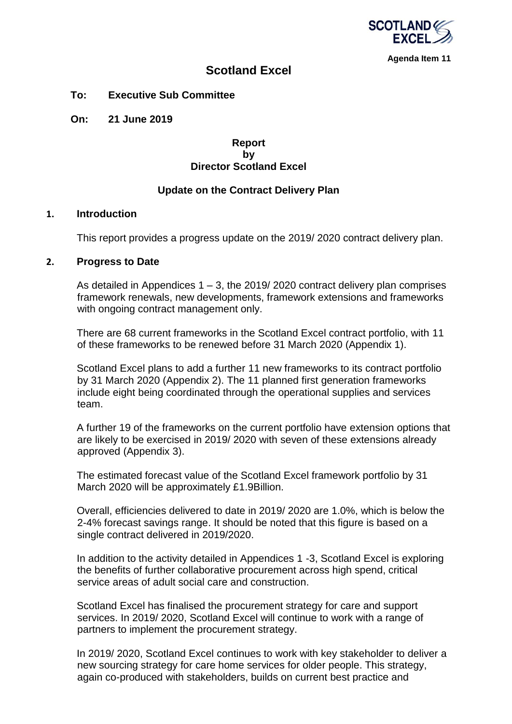

**Agenda Item 11**

# **Scotland Excel**

**To: Executive Sub Committee**

**On: 21 June 2019**

## **Report by Director Scotland Excel**

## **Update on the Contract Delivery Plan**

### **1. Introduction**

This report provides a progress update on the 2019/ 2020 contract delivery plan.

### **2. Progress to Date**

As detailed in Appendices  $1 - 3$ , the 2019/2020 contract delivery plan comprises framework renewals, new developments, framework extensions and frameworks with ongoing contract management only.

There are 68 current frameworks in the Scotland Excel contract portfolio, with 11 of these frameworks to be renewed before 31 March 2020 (Appendix 1).

Scotland Excel plans to add a further 11 new frameworks to its contract portfolio by 31 March 2020 (Appendix 2). The 11 planned first generation frameworks include eight being coordinated through the operational supplies and services team

A further 19 of the frameworks on the current portfolio have extension options that are likely to be exercised in 2019/ 2020 with seven of these extensions already approved (Appendix 3).

The estimated forecast value of the Scotland Excel framework portfolio by 31 March 2020 will be approximately £1.9Billion.

Overall, efficiencies delivered to date in 2019/ 2020 are 1.0%, which is below the 2-4% forecast savings range. It should be noted that this figure is based on a single contract delivered in 2019/2020.

In addition to the activity detailed in Appendices 1 -3, Scotland Excel is exploring the benefits of further collaborative procurement across high spend, critical service areas of adult social care and construction.

Scotland Excel has finalised the procurement strategy for care and support services. In 2019/ 2020, Scotland Excel will continue to work with a range of partners to implement the procurement strategy.

In 2019/ 2020, Scotland Excel continues to work with key stakeholder to deliver a new sourcing strategy for care home services for older people. This strategy, again co-produced with stakeholders, builds on current best practice and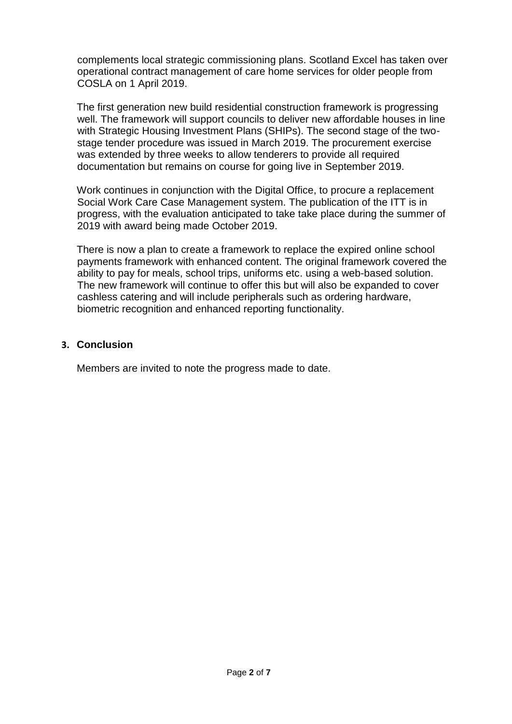complements local strategic commissioning plans. Scotland Excel has taken over operational contract management of care home services for older people from COSLA on 1 April 2019.

The first generation new build residential construction framework is progressing well. The framework will support councils to deliver new affordable houses in line with Strategic Housing Investment Plans (SHIPs). The second stage of the twostage tender procedure was issued in March 2019. The procurement exercise was extended by three weeks to allow tenderers to provide all required documentation but remains on course for going live in September 2019.

Work continues in conjunction with the Digital Office, to procure a replacement Social Work Care Case Management system. The publication of the ITT is in progress, with the evaluation anticipated to take take place during the summer of 2019 with award being made October 2019.

There is now a plan to create a framework to replace the expired online school payments framework with enhanced content. The original framework covered the ability to pay for meals, school trips, uniforms etc. using a web-based solution. The new framework will continue to offer this but will also be expanded to cover cashless catering and will include peripherals such as ordering hardware, biometric recognition and enhanced reporting functionality.

## **3. Conclusion**

Members are invited to note the progress made to date.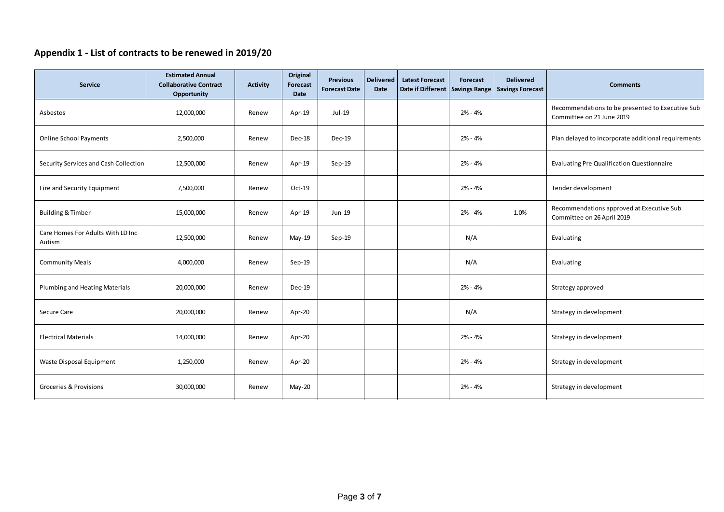# **Appendix 1 - List of contracts to be renewed in 2019/20**

| Service                                     | <b>Estimated Annual</b><br><b>Collaborative Contract</b><br>Opportunity | <b>Activity</b> | Original<br><b>Forecast</b><br>Date | <b>Previous</b><br><b>Forecast Date</b> | <b>Delivered</b><br>Date | <b>Latest Forecast</b><br>Date if Different Savings Range | Forecast  | <b>Delivered</b><br><b>Savings Forecast</b> | <b>Comments</b>                                                               |  |  |
|---------------------------------------------|-------------------------------------------------------------------------|-----------------|-------------------------------------|-----------------------------------------|--------------------------|-----------------------------------------------------------|-----------|---------------------------------------------|-------------------------------------------------------------------------------|--|--|
| Asbestos                                    | 12,000,000                                                              | Renew           | Apr-19                              | Jul-19                                  |                          |                                                           | $2% - 4%$ |                                             | Recommendations to be presented to Executive Sub<br>Committee on 21 June 2019 |  |  |
| <b>Online School Payments</b>               | 2,500,000                                                               | Renew           | Dec-18                              | Dec-19                                  |                          |                                                           | $2% - 4%$ |                                             | Plan delayed to incorporate additional requirements                           |  |  |
| Security Services and Cash Collection       | 12,500,000                                                              | Renew           | Apr-19                              | $Sep-19$                                |                          |                                                           | 2% - 4%   |                                             | <b>Evaluating Pre Qualification Questionnaire</b>                             |  |  |
| Fire and Security Equipment                 | 7,500,000                                                               | Renew           | Oct-19                              |                                         |                          |                                                           | $2% - 4%$ |                                             | Tender development                                                            |  |  |
| <b>Building &amp; Timber</b>                | 15,000,000                                                              | Renew           | Apr-19                              | Jun-19                                  |                          |                                                           | 2% - 4%   | 1.0%                                        | Recommendations approved at Executive Sub<br>Committee on 26 April 2019       |  |  |
| Care Homes For Adults With LD Inc<br>Autism | 12,500,000                                                              | Renew           | May-19                              | $Sep-19$                                |                          |                                                           | N/A       |                                             | Evaluating                                                                    |  |  |
| <b>Community Meals</b>                      | 4,000,000                                                               | Renew           | Sep-19                              |                                         |                          |                                                           | N/A       |                                             | Evaluating                                                                    |  |  |
| Plumbing and Heating Materials              | 20,000,000                                                              | Renew           | <b>Dec-19</b>                       |                                         |                          |                                                           | 2% - 4%   |                                             | Strategy approved                                                             |  |  |
| Secure Care                                 | 20,000,000                                                              | Renew           | Apr-20                              |                                         |                          |                                                           | N/A       |                                             | Strategy in development                                                       |  |  |
| <b>Electrical Materials</b>                 | 14,000,000                                                              | Renew           | Apr-20                              |                                         |                          |                                                           | 2% - 4%   |                                             | Strategy in development                                                       |  |  |
| Waste Disposal Equipment                    | 1,250,000                                                               | Renew           | Apr-20                              |                                         |                          |                                                           | 2% - 4%   |                                             | Strategy in development                                                       |  |  |
| Groceries & Provisions                      | 30,000,000                                                              | Renew           | $May-20$                            |                                         |                          |                                                           | $2% - 4%$ |                                             | Strategy in development                                                       |  |  |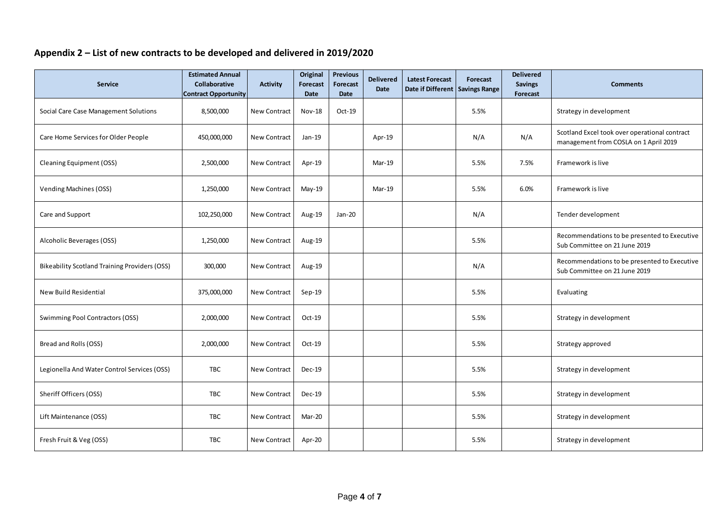# **Appendix 2 – List of new contracts to be developed and delivered in 2019/2020**

| <b>Service</b>                                       | <b>Estimated Annual</b><br><b>Collaborative</b><br><b>Contract Opportunity</b> | <b>Activity</b>     | Original<br>Forecast<br><b>Date</b> | <b>Previous</b><br><b>Forecast</b><br>Date | <b>Delivered</b><br><b>Date</b> | <b>Latest Forecast</b><br>Date if Different Savings Range | Forecast | <b>Delivered</b><br><b>Savings</b><br>Forecast | <b>Comments</b>                                                                        |
|------------------------------------------------------|--------------------------------------------------------------------------------|---------------------|-------------------------------------|--------------------------------------------|---------------------------------|-----------------------------------------------------------|----------|------------------------------------------------|----------------------------------------------------------------------------------------|
| Social Care Case Management Solutions                | 8,500,000                                                                      | <b>New Contract</b> | Nov-18                              | Oct-19                                     |                                 |                                                           | 5.5%     |                                                | Strategy in development                                                                |
| Care Home Services for Older People                  | 450,000,000                                                                    | <b>New Contract</b> | Jan-19                              |                                            | Apr-19                          |                                                           | N/A      | N/A                                            | Scotland Excel took over operational contract<br>management from COSLA on 1 April 2019 |
| <b>Cleaning Equipment (OSS)</b>                      | 2,500,000                                                                      | <b>New Contract</b> | Apr-19                              |                                            | Mar-19                          |                                                           | 5.5%     | 7.5%                                           | Framework is live                                                                      |
| <b>Vending Machines (OSS)</b>                        | 1,250,000                                                                      | <b>New Contract</b> | May-19                              |                                            | $Mar-19$                        |                                                           | 5.5%     | 6.0%                                           | Framework is live                                                                      |
| Care and Support                                     | 102,250,000                                                                    | <b>New Contract</b> | Aug-19                              | Jan-20                                     |                                 |                                                           | N/A      |                                                | Tender development                                                                     |
| Alcoholic Beverages (OSS)                            | 1,250,000                                                                      | New Contract        | Aug-19                              |                                            |                                 |                                                           | 5.5%     |                                                | Recommendations to be presented to Executive<br>Sub Committee on 21 June 2019          |
| <b>Bikeability Scotland Training Providers (OSS)</b> | 300,000                                                                        | New Contract        | Aug-19                              |                                            |                                 |                                                           | N/A      |                                                | Recommendations to be presented to Executive<br>Sub Committee on 21 June 2019          |
| New Build Residential                                | 375,000,000                                                                    | <b>New Contract</b> | $Sep-19$                            |                                            |                                 |                                                           | 5.5%     |                                                | Evaluating                                                                             |
| Swimming Pool Contractors (OSS)                      | 2,000,000                                                                      | <b>New Contract</b> | Oct-19                              |                                            |                                 |                                                           | 5.5%     |                                                | Strategy in development                                                                |
| Bread and Rolls (OSS)                                | 2,000,000                                                                      | <b>New Contract</b> | $Oct-19$                            |                                            |                                 |                                                           | 5.5%     |                                                | Strategy approved                                                                      |
| Legionella And Water Control Services (OSS)          | <b>TBC</b>                                                                     | New Contract        | Dec-19                              |                                            |                                 |                                                           | 5.5%     |                                                | Strategy in development                                                                |
| Sheriff Officers (OSS)                               | <b>TBC</b>                                                                     | <b>New Contract</b> | Dec-19                              |                                            |                                 |                                                           | 5.5%     |                                                | Strategy in development                                                                |
| Lift Maintenance (OSS)                               | TBC                                                                            | <b>New Contract</b> | Mar-20                              |                                            |                                 |                                                           | 5.5%     |                                                | Strategy in development                                                                |
| Fresh Fruit & Veg (OSS)                              | <b>TBC</b>                                                                     | <b>New Contract</b> | Apr-20                              |                                            |                                 |                                                           | 5.5%     |                                                | Strategy in development                                                                |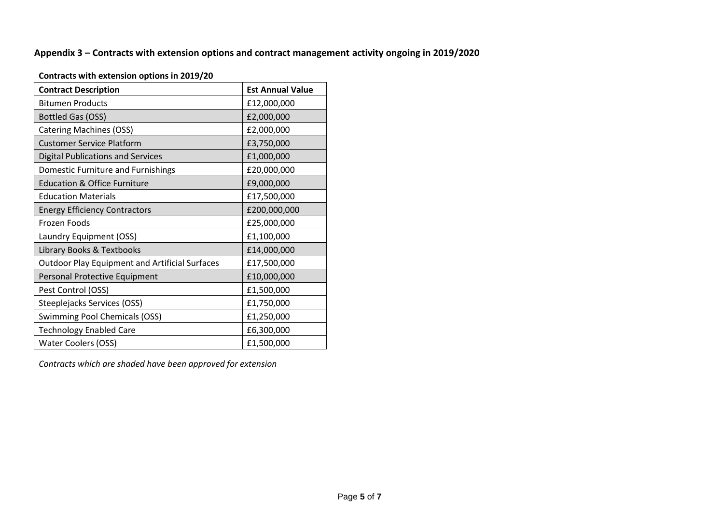# **Appendix 3 – Contracts with extension options and contract management activity ongoing in 2019/2020**

| <b>Contract Description</b>                           | <b>Est Annual Value</b> |
|-------------------------------------------------------|-------------------------|
| <b>Bitumen Products</b>                               | £12,000,000             |
| Bottled Gas (OSS)                                     | £2,000,000              |
| <b>Catering Machines (OSS)</b>                        | £2,000,000              |
| <b>Customer Service Platform</b>                      | £3,750,000              |
| <b>Digital Publications and Services</b>              | £1,000,000              |
| Domestic Furniture and Furnishings                    | £20,000,000             |
| <b>Education &amp; Office Furniture</b>               | £9,000,000              |
| <b>Education Materials</b>                            | £17,500,000             |
| <b>Energy Efficiency Contractors</b>                  | £200,000,000            |
| Frozen Foods                                          | £25,000,000             |
| Laundry Equipment (OSS)                               | £1,100,000              |
| Library Books & Textbooks                             | £14,000,000             |
| <b>Outdoor Play Equipment and Artificial Surfaces</b> | £17,500,000             |
| Personal Protective Equipment                         | £10,000,000             |
| Pest Control (OSS)                                    | £1,500,000              |
| Steeplejacks Services (OSS)                           | £1,750,000              |
| <b>Swimming Pool Chemicals (OSS)</b>                  | £1,250,000              |
| <b>Technology Enabled Care</b>                        | £6,300,000              |
| <b>Water Coolers (OSS)</b>                            | £1,500,000              |

## **Contracts with extension options in 2019/20**

*Contracts which are shaded have been approved for extension*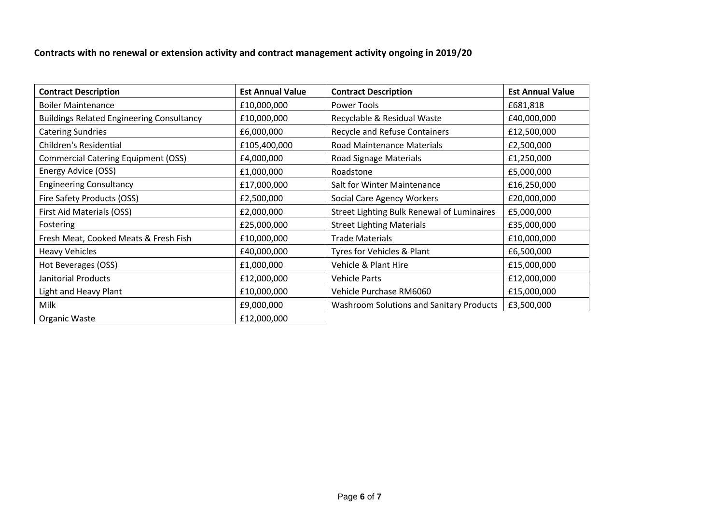**Contracts with no renewal or extension activity and contract management activity ongoing in 2019/20**

| <b>Contract Description</b>                      | <b>Est Annual Value</b> | <b>Contract Description</b>                       | <b>Est Annual Value</b> |  |  |
|--------------------------------------------------|-------------------------|---------------------------------------------------|-------------------------|--|--|
| <b>Boiler Maintenance</b>                        | £10,000,000             | Power Tools                                       | £681,818                |  |  |
| <b>Buildings Related Engineering Consultancy</b> | £10,000,000             | Recyclable & Residual Waste                       | £40,000,000             |  |  |
| <b>Catering Sundries</b>                         | £6,000,000              | <b>Recycle and Refuse Containers</b>              | £12,500,000             |  |  |
| <b>Children's Residential</b>                    | £105,400,000            | Road Maintenance Materials                        | £2,500,000              |  |  |
| <b>Commercial Catering Equipment (OSS)</b>       | £4,000,000              | Road Signage Materials                            | £1,250,000              |  |  |
| Energy Advice (OSS)                              | £1,000,000              | Roadstone                                         | £5,000,000              |  |  |
| <b>Engineering Consultancy</b>                   | £17,000,000             | Salt for Winter Maintenance                       | £16,250,000             |  |  |
| Fire Safety Products (OSS)                       | £2,500,000              | Social Care Agency Workers                        | £20,000,000             |  |  |
| First Aid Materials (OSS)                        | £2,000,000              | <b>Street Lighting Bulk Renewal of Luminaires</b> | £5,000,000              |  |  |
| Fostering                                        | £25,000,000             | <b>Street Lighting Materials</b>                  | £35,000,000             |  |  |
| Fresh Meat, Cooked Meats & Fresh Fish            | £10,000,000             | <b>Trade Materials</b>                            | £10,000,000             |  |  |
| <b>Heavy Vehicles</b>                            | £40,000,000             | Tyres for Vehicles & Plant                        | £6,500,000              |  |  |
| Hot Beverages (OSS)                              | £1,000,000              | Vehicle & Plant Hire                              | £15,000,000             |  |  |
| Janitorial Products                              | £12,000,000             | <b>Vehicle Parts</b>                              | £12,000,000             |  |  |
| <b>Light and Heavy Plant</b>                     | £10,000,000             | Vehicle Purchase RM6060                           | £15,000,000             |  |  |
| Milk                                             | £9,000,000              | <b>Washroom Solutions and Sanitary Products</b>   | £3,500,000              |  |  |
| Organic Waste                                    | £12,000,000             |                                                   |                         |  |  |